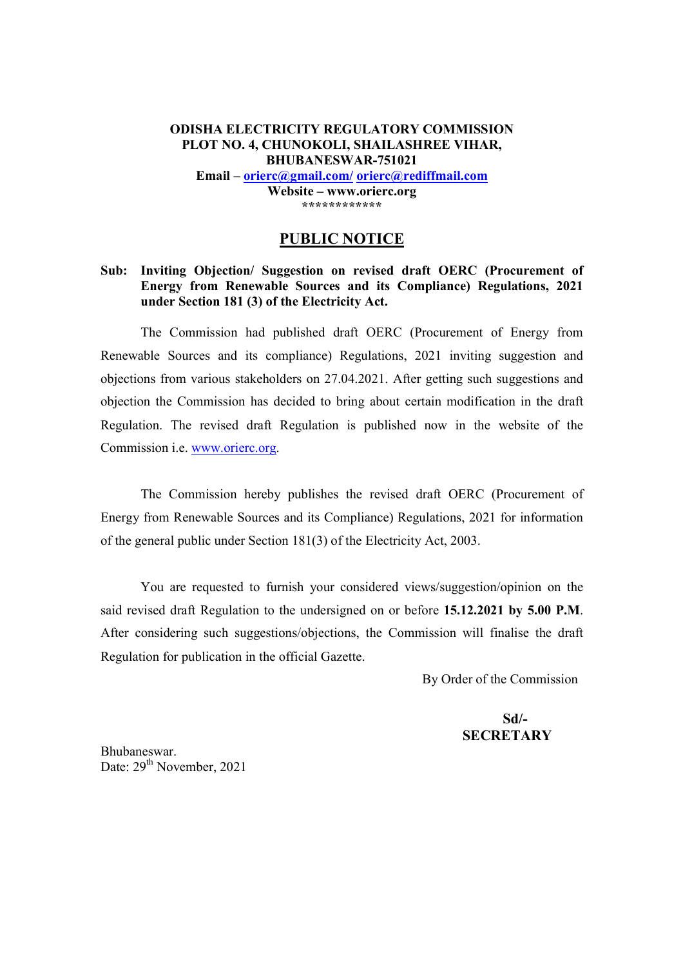#### **ODISHA ELECTRICITY REGULATORY COMMISSION PLOT NO. 4, CHUNOKOLI, SHAILASHREE VIHAR, BHUBANESWAR-751021 Email orierc@gmail.com/ orierc@rediffmail.com Website www.orierc.org \*\*\*\*\*\*\*\*\*\*\*\***

#### **PUBLIC NOTICE**

#### **Sub: Inviting Objection/ Suggestion on revised draft OERC (Procurement of Energy from Renewable Sources and its Compliance) Regulations, 2021 under Section 181 (3) of the Electricity Act.**

The Commission had published draft OERC (Procurement of Energy from Renewable Sources and its compliance) Regulations, 2021 inviting suggestion and objections from various stakeholders on 27.04.2021. After getting such suggestions and objection the Commission has decided to bring about certain modification in the draft Regulation. The revised draft Regulation is published now in the website of the Commission i.e. www.orierc.org.

 The Commission hereby publishes the revised draft OERC (Procurement of Energy from Renewable Sources and its Compliance) Regulations, 2021 for information of the general public under Section 181(3) of the Electricity Act, 2003.

 You are requested to furnish your considered views/suggestion/opinion on the said revised draft Regulation to the undersigned on or before **15.12.2021 by 5.00 P.M**. After considering such suggestions/objections, the Commission will finalise the draft Regulation for publication in the official Gazette.

By Order of the Commission

 **Sd/- SECRETARY** 

Bhubaneswar. Date: 29<sup>th</sup> November, 2021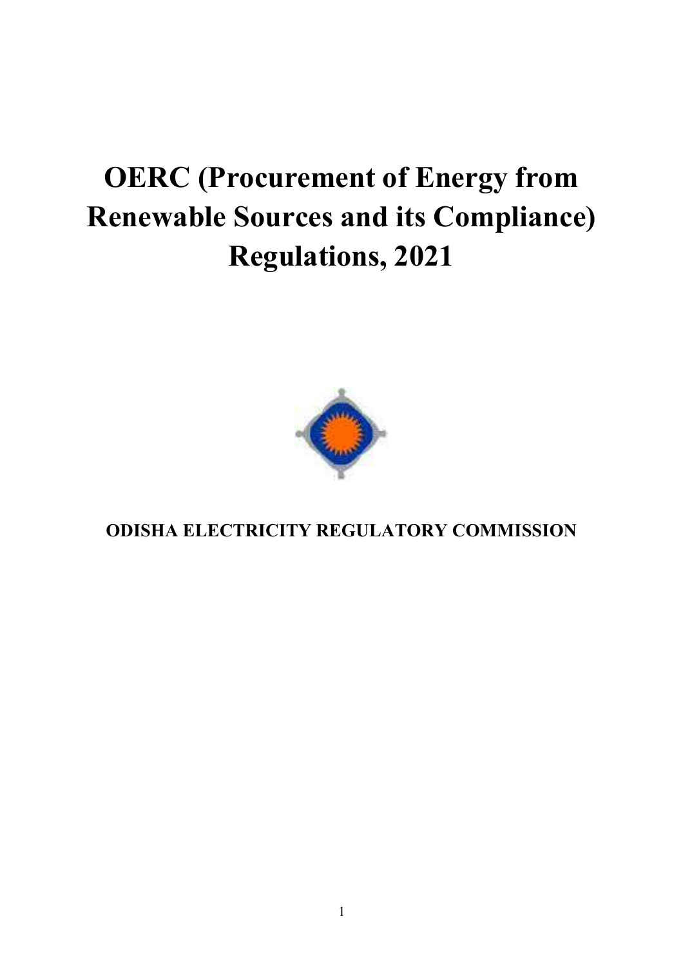# **OERC (Procurement of Energy from Renewable Sources and its Compliance) Regulations, 2021**



**ODISHA ELECTRICITY REGULATORY COMMISSION**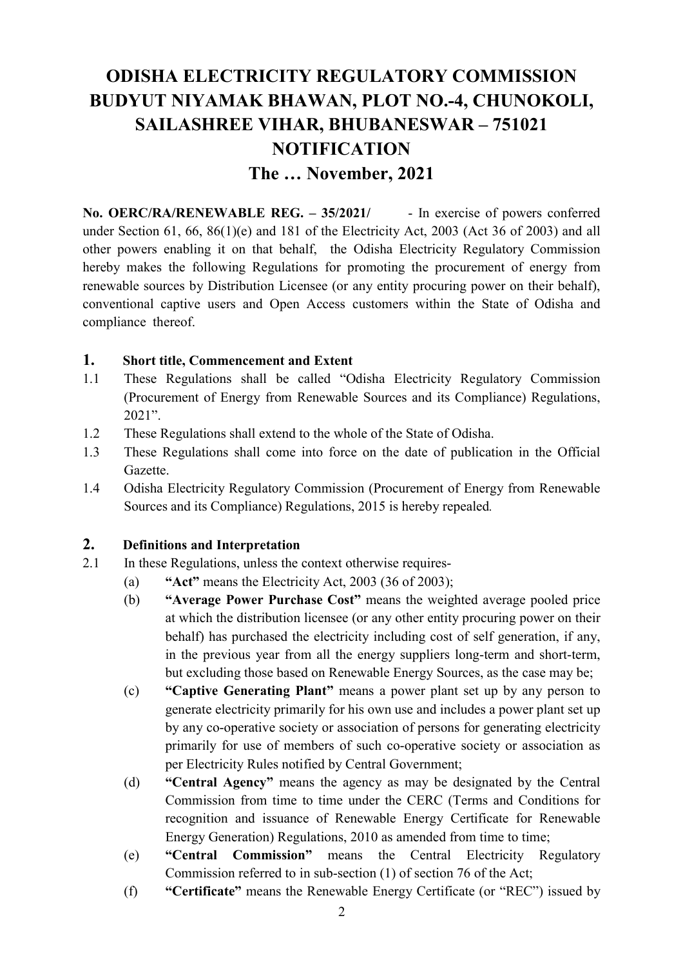# **ODISHA ELECTRICITY REGULATORY COMMISSION BUDYUT NIYAMAK BHAWAN, PLOT NO.-4, CHUNOKOLI, SAILASHREE VIHAR, BHUBANESWAR - 751021 NOTIFICATION The - November, 2021**

No. OERC/RA/RENEWABLE REG. - 35/2021/ - In exercise of powers conferred under Section 61, 66, 86(1)(e) and 181 of the Electricity Act, 2003 (Act 36 of 2003) and all other powers enabling it on that behalf, the Odisha Electricity Regulatory Commission hereby makes the following Regulations for promoting the procurement of energy from renewable sources by Distribution Licensee (or any entity procuring power on their behalf), conventional captive users and Open Access customers within the State of Odisha and compliance thereof.

#### **1. Short title, Commencement and Extent**

- 1.1 These Regulations shall be called "Odisha Electricity Regulatory Commission" (Procurement of Energy from Renewable Sources and its Compliance) Regulations,  $2021$ ".
- 1.2 These Regulations shall extend to the whole of the State of Odisha.
- 1.3 These Regulations shall come into force on the date of publication in the Official Gazette.
- 1.4 Odisha Electricity Regulatory Commission (Procurement of Energy from Renewable Sources and its Compliance) Regulations, 2015 is hereby repealed*.*

#### **2. Definitions and Interpretation**

- 2.1 In these Regulations, unless the context otherwise requires-
	- (a)  $4\pi$ **Act**" means the Electricity Act, 2003 (36 of 2003);
	- (b) **Average Power Purchase Cost**" means the weighted average pooled price at which the distribution licensee (or any other entity procuring power on their behalf) has purchased the electricity including cost of self generation, if any, in the previous year from all the energy suppliers long-term and short-term, but excluding those based on Renewable Energy Sources, as the case may be;
	- (c) **Captive Generating Plant** means a power plant set up by any person to generate electricity primarily for his own use and includes a power plant set up by any co-operative society or association of persons for generating electricity primarily for use of members of such co-operative society or association as per Electricity Rules notified by Central Government;
	- (d) **Central Agency** means the agency as may be designated by the Central Commission from time to time under the CERC (Terms and Conditions for recognition and issuance of Renewable Energy Certificate for Renewable Energy Generation) Regulations, 2010 as amended from time to time;
	- (e) **"Central Commission"** means the Central Electricity Regulatory Commission referred to in sub-section (1) of section 76 of the Act;
	- (f) **Certificate**" means the Renewable Energy Certificate (or "REC") issued by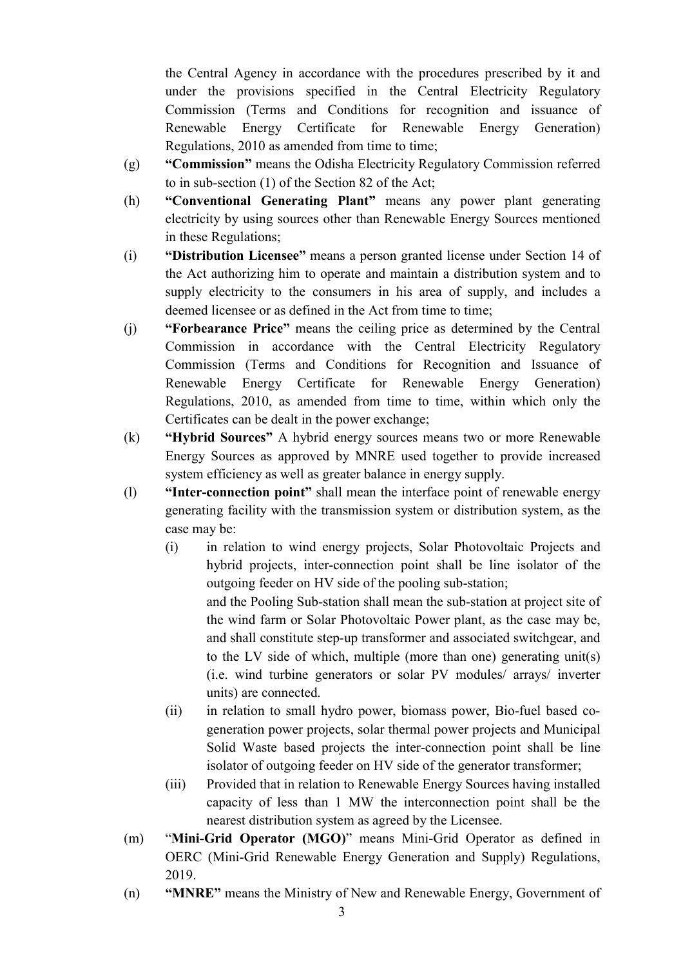the Central Agency in accordance with the procedures prescribed by it and under the provisions specified in the Central Electricity Regulatory Commission (Terms and Conditions for recognition and issuance of Renewable Energy Certificate for Renewable Energy Generation) Regulations, 2010 as amended from time to time;

- (g) **Commission**" means the Odisha Electricity Regulatory Commission referred to in sub-section (1) of the Section 82 of the Act;
- (h) **Conventional Generating Plant means any power plant generating** electricity by using sources other than Renewable Energy Sources mentioned in these Regulations;
- (i) **The Original Guide of Licensee** means a person granted license under Section 14 of the Act authorizing him to operate and maintain a distribution system and to supply electricity to the consumers in his area of supply, and includes a deemed licensee or as defined in the Act from time to time;
- (j) **Forbearance Price**" means the ceiling price as determined by the Central Commission in accordance with the Central Electricity Regulatory Commission (Terms and Conditions for Recognition and Issuance of Renewable Energy Certificate for Renewable Energy Generation) Regulations, 2010, as amended from time to time, within which only the Certificates can be dealt in the power exchange;
- (k) **Hybrid Sources** A hybrid energy sources means two or more Renewable Energy Sources as approved by MNRE used together to provide increased system efficiency as well as greater balance in energy supply.
- (1) **Inter-connection point**" shall mean the interface point of renewable energy generating facility with the transmission system or distribution system, as the case may be:
	- (i) in relation to wind energy projects, Solar Photovoltaic Projects and hybrid projects, inter-connection point shall be line isolator of the outgoing feeder on HV side of the pooling sub-station; and the Pooling Sub-station shall mean the sub-station at project site of the wind farm or Solar Photovoltaic Power plant, as the case may be, and shall constitute step-up transformer and associated switchgear, and to the LV side of which, multiple (more than one) generating unit(s) (i.e. wind turbine generators or solar PV modules/ arrays/ inverter units) are connected.
	- (ii) in relation to small hydro power, biomass power, Bio-fuel based cogeneration power projects, solar thermal power projects and Municipal Solid Waste based projects the inter-connection point shall be line isolator of outgoing feeder on HV side of the generator transformer;
	- (iii) Provided that in relation to Renewable Energy Sources having installed capacity of less than 1 MW the interconnection point shall be the nearest distribution system as agreed by the Licensee.
- (m) **"Mini-Grid Operator (MGO)"** means Mini-Grid Operator as defined in OERC (Mini-Grid Renewable Energy Generation and Supply) Regulations, 2019.
- (n) **MNRE**<sup>n</sup> means the Ministry of New and Renewable Energy, Government of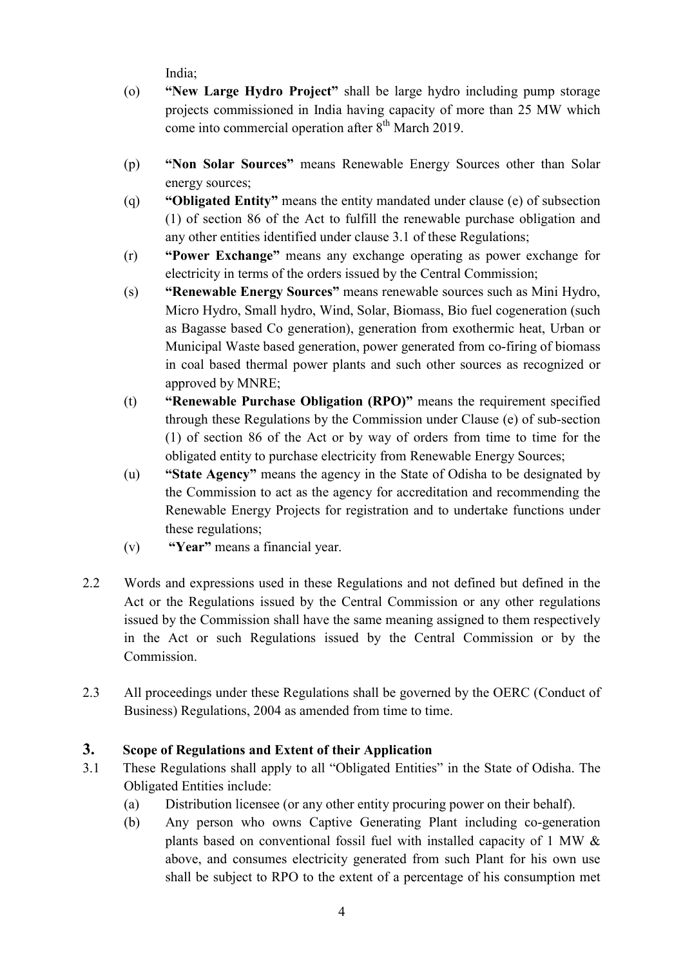India;

- (o) **Wew Large Hydro Project**" shall be large hydro including pump storage projects commissioned in India having capacity of more than 25 MW which come into commercial operation after  $8<sup>th</sup>$  March 2019.
- (p) **Won Solar Sources**" means Renewable Energy Sources other than Solar energy sources;
- (q) **Obligated Entity** means the entity mandated under clause (e) of subsection (1) of section 86 of the Act to fulfill the renewable purchase obligation and any other entities identified under clause 3.1 of these Regulations;
- (r) **Power Exchange** means any exchange operating as power exchange for electricity in terms of the orders issued by the Central Commission;
- (s) **Renewable Energy Sources**" means renewable sources such as Mini Hydro, Micro Hydro, Small hydro, Wind, Solar, Biomass, Bio fuel cogeneration (such as Bagasse based Co generation), generation from exothermic heat, Urban or Municipal Waste based generation, power generated from co-firing of biomass in coal based thermal power plants and such other sources as recognized or approved by MNRE;
- (t) **Renewable Purchase Obligation (RPO)**" means the requirement specified through these Regulations by the Commission under Clause (e) of sub-section (1) of section 86 of the Act or by way of orders from time to time for the obligated entity to purchase electricity from Renewable Energy Sources;
- (u) **State Agency** means the agency in the State of Odisha to be designated by the Commission to act as the agency for accreditation and recommending the Renewable Energy Projects for registration and to undertake functions under these regulations;
- (v) **"Year"** means a financial year.
- 2.2 Words and expressions used in these Regulations and not defined but defined in the Act or the Regulations issued by the Central Commission or any other regulations issued by the Commission shall have the same meaning assigned to them respectively in the Act or such Regulations issued by the Central Commission or by the Commission.
- 2.3 All proceedings under these Regulations shall be governed by the OERC (Conduct of Business) Regulations, 2004 as amended from time to time.

# **3. Scope of Regulations and Extent of their Application**

- 3.1 These Regulations shall apply to all "Obligated Entities" in the State of Odisha. The Obligated Entities include:
	- (a) Distribution licensee (or any other entity procuring power on their behalf).
	- (b) Any person who owns Captive Generating Plant including co-generation plants based on conventional fossil fuel with installed capacity of 1 MW & above, and consumes electricity generated from such Plant for his own use shall be subject to RPO to the extent of a percentage of his consumption met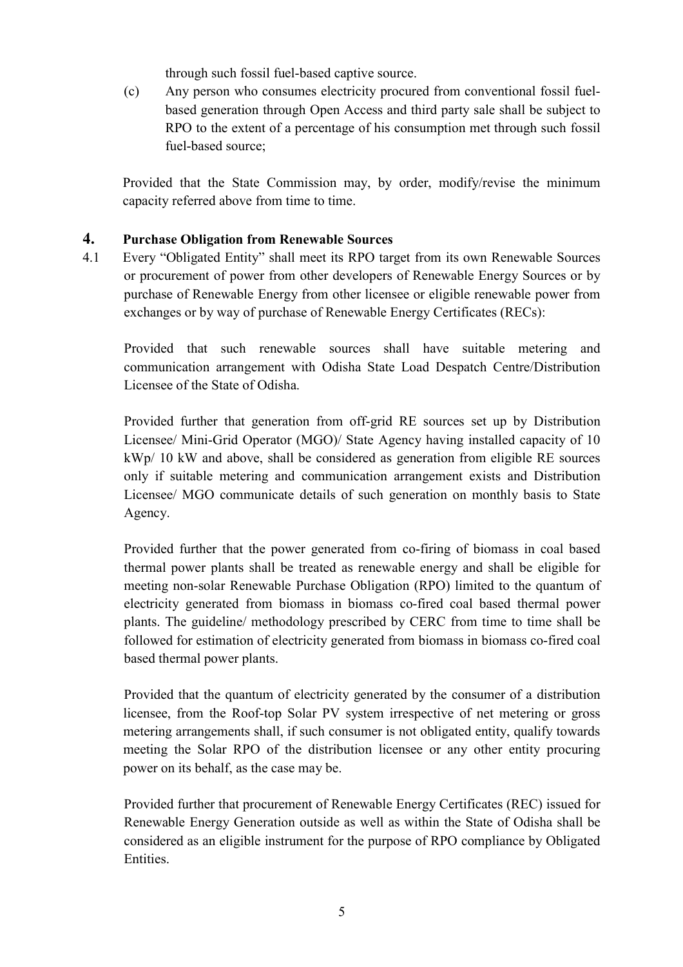through such fossil fuel-based captive source.

(c) Any person who consumes electricity procured from conventional fossil fuelbased generation through Open Access and third party sale shall be subject to RPO to the extent of a percentage of his consumption met through such fossil fuel-based source;

Provided that the State Commission may, by order, modify/revise the minimum capacity referred above from time to time.

# **4. Purchase Obligation from Renewable Sources**

4.1 Every "Obligated Entity" shall meet its RPO target from its own Renewable Sources or procurement of power from other developers of Renewable Energy Sources or by purchase of Renewable Energy from other licensee or eligible renewable power from exchanges or by way of purchase of Renewable Energy Certificates (RECs):

Provided that such renewable sources shall have suitable metering and communication arrangement with Odisha State Load Despatch Centre/Distribution Licensee of the State of Odisha.

Provided further that generation from off-grid RE sources set up by Distribution Licensee/ Mini-Grid Operator (MGO)/ State Agency having installed capacity of 10 kWp/ 10 kW and above, shall be considered as generation from eligible RE sources only if suitable metering and communication arrangement exists and Distribution Licensee/ MGO communicate details of such generation on monthly basis to State Agency.

Provided further that the power generated from co-firing of biomass in coal based thermal power plants shall be treated as renewable energy and shall be eligible for meeting non-solar Renewable Purchase Obligation (RPO) limited to the quantum of electricity generated from biomass in biomass co-fired coal based thermal power plants. The guideline/ methodology prescribed by CERC from time to time shall be followed for estimation of electricity generated from biomass in biomass co-fired coal based thermal power plants.

Provided that the quantum of electricity generated by the consumer of a distribution licensee, from the Roof-top Solar PV system irrespective of net metering or gross metering arrangements shall, if such consumer is not obligated entity, qualify towards meeting the Solar RPO of the distribution licensee or any other entity procuring power on its behalf, as the case may be.

Provided further that procurement of Renewable Energy Certificates (REC) issued for Renewable Energy Generation outside as well as within the State of Odisha shall be considered as an eligible instrument for the purpose of RPO compliance by Obligated Entities.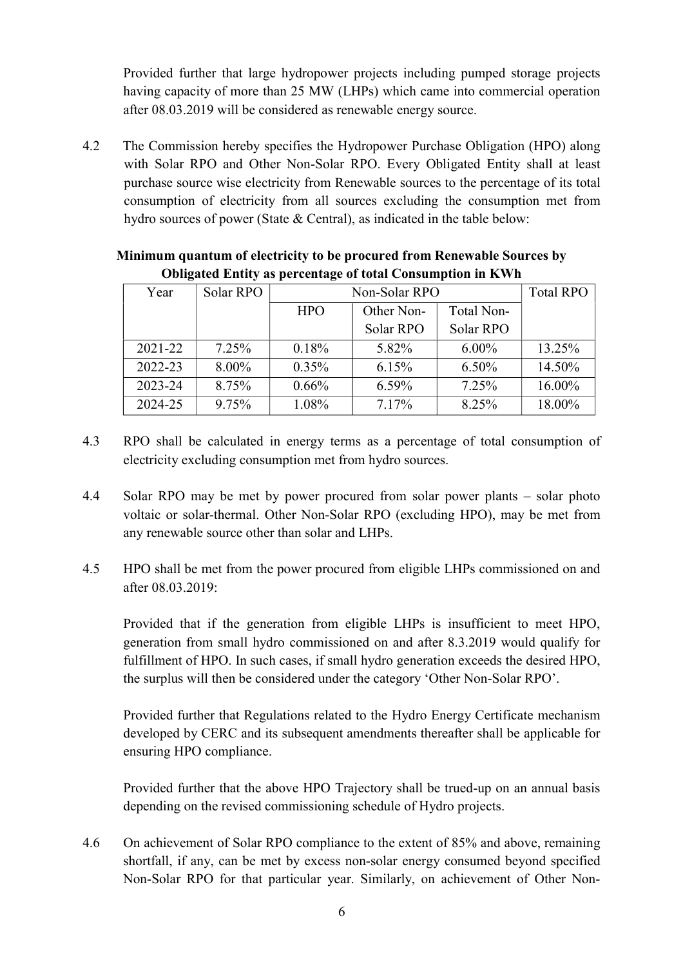Provided further that large hydropower projects including pumped storage projects having capacity of more than 25 MW (LHPs) which came into commercial operation after 08.03.2019 will be considered as renewable energy source.

4.2 The Commission hereby specifies the Hydropower Purchase Obligation (HPO) along with Solar RPO and Other Non-Solar RPO. Every Obligated Entity shall at least purchase source wise electricity from Renewable sources to the percentage of its total consumption of electricity from all sources excluding the consumption met from hydro sources of power (State & Central), as indicated in the table below:

| Year        | Solar RPO | Non-Solar RPO |            |            | <b>Total RPO</b> |
|-------------|-----------|---------------|------------|------------|------------------|
|             |           | <b>HPO</b>    | Other Non- | Total Non- |                  |
|             |           |               | Solar RPO  | Solar RPO  |                  |
| $2021 - 22$ | $7.25\%$  | 0.18%         | 5.82%      | $6.00\%$   | 13.25%           |
| 2022-23     | $8.00\%$  | $0.35\%$      | 6.15%      | $6.50\%$   | 14.50%           |
| 2023-24     | 8.75%     | $0.66\%$      | $6.59\%$   | 7.25%      | 16.00%           |
| 2024-25     | 9.75%     | 1.08%         | 7.17%      | 8.25%      | 18.00%           |

# **Minimum quantum of electricity to be procured from Renewable Sources by Obligated Entity as percentage of total Consumption in KWh**

- 4.3 RPO shall be calculated in energy terms as a percentage of total consumption of electricity excluding consumption met from hydro sources.
- 4.4 Solar RPO may be met by power procured from solar power plants solar photo voltaic or solar-thermal. Other Non-Solar RPO (excluding HPO), may be met from any renewable source other than solar and LHPs.
- 4.5 HPO shall be met from the power procured from eligible LHPs commissioned on and after 08.03.2019:

 Provided that if the generation from eligible LHPs is insufficient to meet HPO, generation from small hydro commissioned on and after 8.3.2019 would qualify for fulfillment of HPO. In such cases, if small hydro generation exceeds the desired HPO, the surplus will then be considered under the category 'Other Non-Solar RPO'.

Provided further that Regulations related to the Hydro Energy Certificate mechanism developed by CERC and its subsequent amendments thereafter shall be applicable for ensuring HPO compliance.

Provided further that the above HPO Trajectory shall be trued-up on an annual basis depending on the revised commissioning schedule of Hydro projects.

4.6 On achievement of Solar RPO compliance to the extent of 85% and above, remaining shortfall, if any, can be met by excess non-solar energy consumed beyond specified Non-Solar RPO for that particular year. Similarly, on achievement of Other Non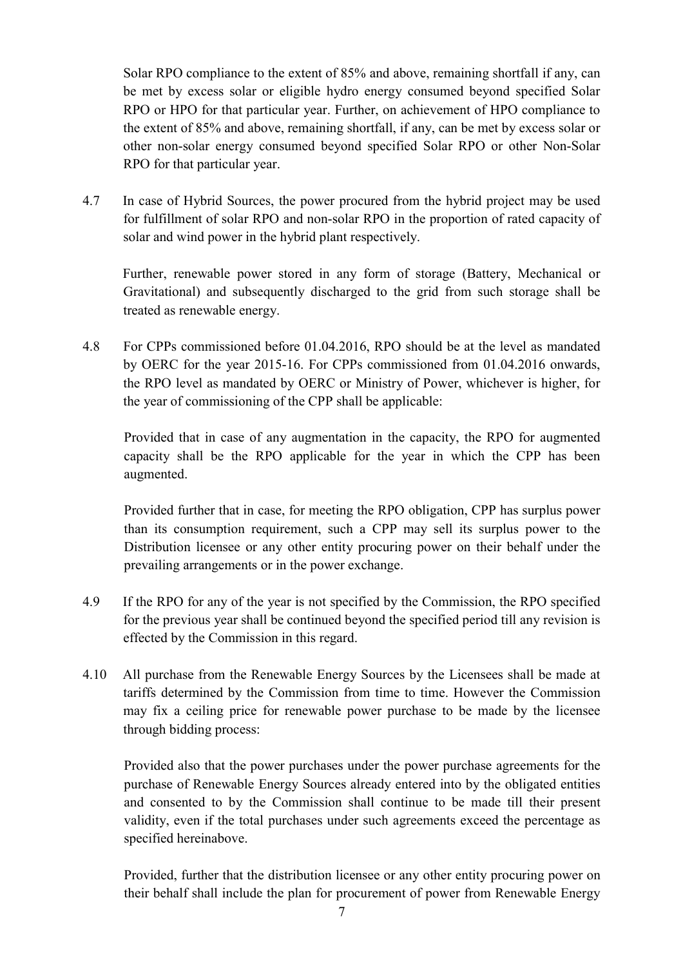Solar RPO compliance to the extent of 85% and above, remaining shortfall if any, can be met by excess solar or eligible hydro energy consumed beyond specified Solar RPO or HPO for that particular year. Further, on achievement of HPO compliance to the extent of 85% and above, remaining shortfall, if any, can be met by excess solar or other non-solar energy consumed beyond specified Solar RPO or other Non-Solar RPO for that particular year.

4.7 In case of Hybrid Sources, the power procured from the hybrid project may be used for fulfillment of solar RPO and non-solar RPO in the proportion of rated capacity of solar and wind power in the hybrid plant respectively.

 Further, renewable power stored in any form of storage (Battery, Mechanical or Gravitational) and subsequently discharged to the grid from such storage shall be treated as renewable energy.

4.8 For CPPs commissioned before 01.04.2016, RPO should be at the level as mandated by OERC for the year 2015-16. For CPPs commissioned from 01.04.2016 onwards, the RPO level as mandated by OERC or Ministry of Power, whichever is higher, for the year of commissioning of the CPP shall be applicable:

Provided that in case of any augmentation in the capacity, the RPO for augmented capacity shall be the RPO applicable for the year in which the CPP has been augmented.

Provided further that in case, for meeting the RPO obligation, CPP has surplus power than its consumption requirement, such a CPP may sell its surplus power to the Distribution licensee or any other entity procuring power on their behalf under the prevailing arrangements or in the power exchange.

- 4.9 If the RPO for any of the year is not specified by the Commission, the RPO specified for the previous year shall be continued beyond the specified period till any revision is effected by the Commission in this regard.
- 4.10 All purchase from the Renewable Energy Sources by the Licensees shall be made at tariffs determined by the Commission from time to time. However the Commission may fix a ceiling price for renewable power purchase to be made by the licensee through bidding process:

Provided also that the power purchases under the power purchase agreements for the purchase of Renewable Energy Sources already entered into by the obligated entities and consented to by the Commission shall continue to be made till their present validity, even if the total purchases under such agreements exceed the percentage as specified hereinabove.

Provided, further that the distribution licensee or any other entity procuring power on their behalf shall include the plan for procurement of power from Renewable Energy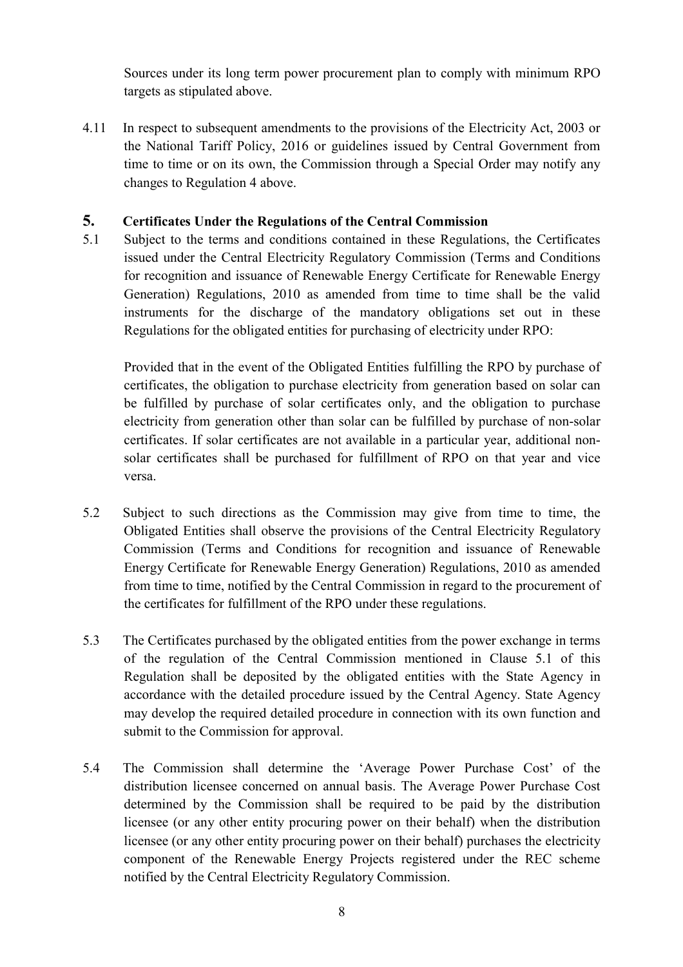Sources under its long term power procurement plan to comply with minimum RPO targets as stipulated above.

4.11 In respect to subsequent amendments to the provisions of the Electricity Act, 2003 or the National Tariff Policy, 2016 or guidelines issued by Central Government from time to time or on its own, the Commission through a Special Order may notify any changes to Regulation 4 above.

# **5. Certificates Under the Regulations of the Central Commission**

5.1 Subject to the terms and conditions contained in these Regulations, the Certificates issued under the Central Electricity Regulatory Commission (Terms and Conditions for recognition and issuance of Renewable Energy Certificate for Renewable Energy Generation) Regulations, 2010 as amended from time to time shall be the valid instruments for the discharge of the mandatory obligations set out in these Regulations for the obligated entities for purchasing of electricity under RPO:

Provided that in the event of the Obligated Entities fulfilling the RPO by purchase of certificates, the obligation to purchase electricity from generation based on solar can be fulfilled by purchase of solar certificates only, and the obligation to purchase electricity from generation other than solar can be fulfilled by purchase of non-solar certificates. If solar certificates are not available in a particular year, additional nonsolar certificates shall be purchased for fulfillment of RPO on that year and vice versa.

- 5.2 Subject to such directions as the Commission may give from time to time, the Obligated Entities shall observe the provisions of the Central Electricity Regulatory Commission (Terms and Conditions for recognition and issuance of Renewable Energy Certificate for Renewable Energy Generation) Regulations, 2010 as amended from time to time, notified by the Central Commission in regard to the procurement of the certificates for fulfillment of the RPO under these regulations.
- 5.3 The Certificates purchased by the obligated entities from the power exchange in terms of the regulation of the Central Commission mentioned in Clause 5.1 of this Regulation shall be deposited by the obligated entities with the State Agency in accordance with the detailed procedure issued by the Central Agency. State Agency may develop the required detailed procedure in connection with its own function and submit to the Commission for approval.
- 5.4 The Commission shall determine the 'Average Power Purchase Cost' of the distribution licensee concerned on annual basis. The Average Power Purchase Cost determined by the Commission shall be required to be paid by the distribution licensee (or any other entity procuring power on their behalf) when the distribution licensee (or any other entity procuring power on their behalf) purchases the electricity component of the Renewable Energy Projects registered under the REC scheme notified by the Central Electricity Regulatory Commission.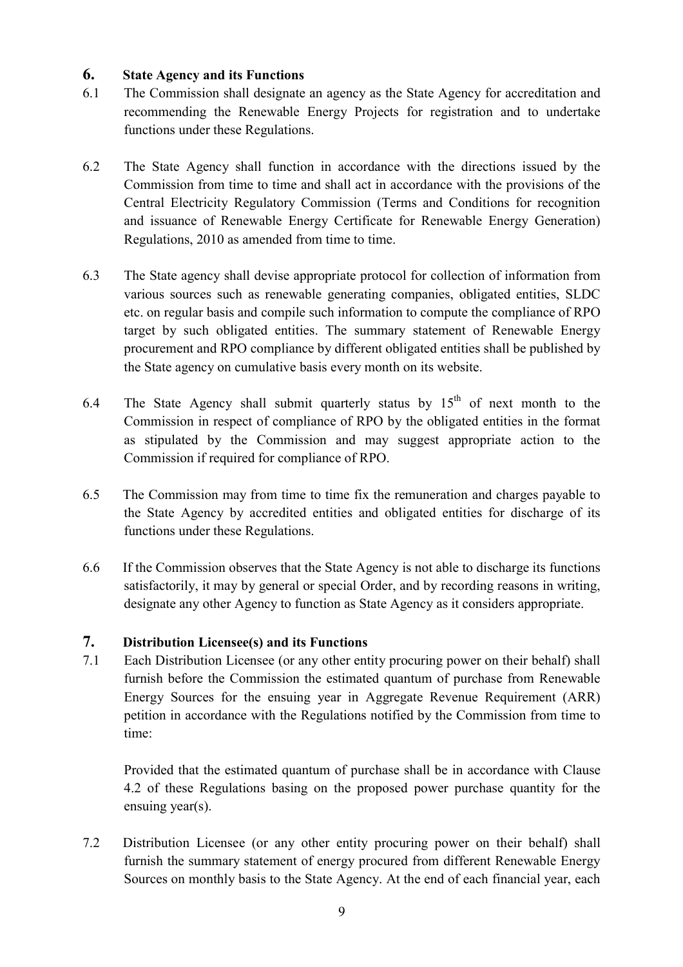# **6. State Agency and its Functions**

- 6.1 The Commission shall designate an agency as the State Agency for accreditation and recommending the Renewable Energy Projects for registration and to undertake functions under these Regulations.
- 6.2 The State Agency shall function in accordance with the directions issued by the Commission from time to time and shall act in accordance with the provisions of the Central Electricity Regulatory Commission (Terms and Conditions for recognition and issuance of Renewable Energy Certificate for Renewable Energy Generation) Regulations, 2010 as amended from time to time.
- 6.3 The State agency shall devise appropriate protocol for collection of information from various sources such as renewable generating companies, obligated entities, SLDC etc. on regular basis and compile such information to compute the compliance of RPO target by such obligated entities. The summary statement of Renewable Energy procurement and RPO compliance by different obligated entities shall be published by the State agency on cumulative basis every month on its website.
- 6.4 The State Agency shall submit quarterly status by  $15<sup>th</sup>$  of next month to the Commission in respect of compliance of RPO by the obligated entities in the format as stipulated by the Commission and may suggest appropriate action to the Commission if required for compliance of RPO.
- 6.5 The Commission may from time to time fix the remuneration and charges payable to the State Agency by accredited entities and obligated entities for discharge of its functions under these Regulations.
- 6.6 If the Commission observes that the State Agency is not able to discharge its functions satisfactorily, it may by general or special Order, and by recording reasons in writing, designate any other Agency to function as State Agency as it considers appropriate.

# **7. Distribution Licensee(s) and its Functions**

7.1 Each Distribution Licensee (or any other entity procuring power on their behalf) shall furnish before the Commission the estimated quantum of purchase from Renewable Energy Sources for the ensuing year in Aggregate Revenue Requirement (ARR) petition in accordance with the Regulations notified by the Commission from time to time:

Provided that the estimated quantum of purchase shall be in accordance with Clause 4.2 of these Regulations basing on the proposed power purchase quantity for the ensuing year(s).

7.2 Distribution Licensee (or any other entity procuring power on their behalf) shall furnish the summary statement of energy procured from different Renewable Energy Sources on monthly basis to the State Agency. At the end of each financial year, each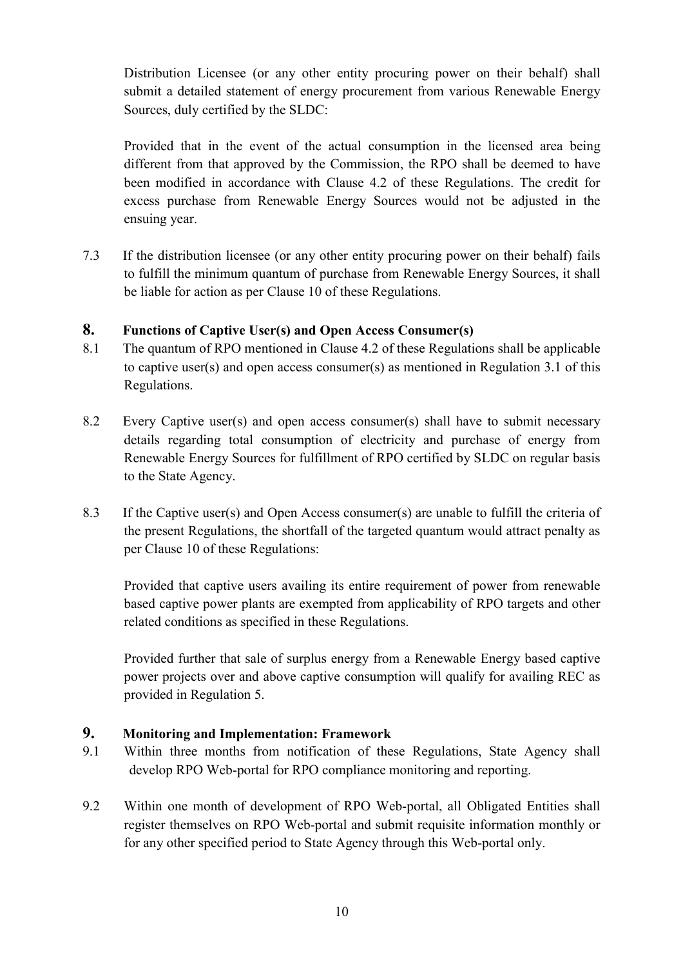Distribution Licensee (or any other entity procuring power on their behalf) shall submit a detailed statement of energy procurement from various Renewable Energy Sources, duly certified by the SLDC:

Provided that in the event of the actual consumption in the licensed area being different from that approved by the Commission, the RPO shall be deemed to have been modified in accordance with Clause 4.2 of these Regulations. The credit for excess purchase from Renewable Energy Sources would not be adjusted in the ensuing year.

7.3 If the distribution licensee (or any other entity procuring power on their behalf) fails to fulfill the minimum quantum of purchase from Renewable Energy Sources, it shall be liable for action as per Clause 10 of these Regulations.

# **8. Functions of Captive User(s) and Open Access Consumer(s)**

- 8.1 The quantum of RPO mentioned in Clause 4.2 of these Regulations shall be applicable to captive user(s) and open access consumer(s) as mentioned in Regulation 3.1 of this Regulations.
- 8.2 Every Captive user(s) and open access consumer(s) shall have to submit necessary details regarding total consumption of electricity and purchase of energy from Renewable Energy Sources for fulfillment of RPO certified by SLDC on regular basis to the State Agency.
- 8.3 If the Captive user(s) and Open Access consumer(s) are unable to fulfill the criteria of the present Regulations, the shortfall of the targeted quantum would attract penalty as per Clause 10 of these Regulations:

Provided that captive users availing its entire requirement of power from renewable based captive power plants are exempted from applicability of RPO targets and other related conditions as specified in these Regulations.

Provided further that sale of surplus energy from a Renewable Energy based captive power projects over and above captive consumption will qualify for availing REC as provided in Regulation 5.

# **9. Monitoring and Implementation: Framework**

- 9.1 Within three months from notification of these Regulations, State Agency shall develop RPO Web-portal for RPO compliance monitoring and reporting.
- 9.2 Within one month of development of RPO Web-portal, all Obligated Entities shall register themselves on RPO Web-portal and submit requisite information monthly or for any other specified period to State Agency through this Web-portal only.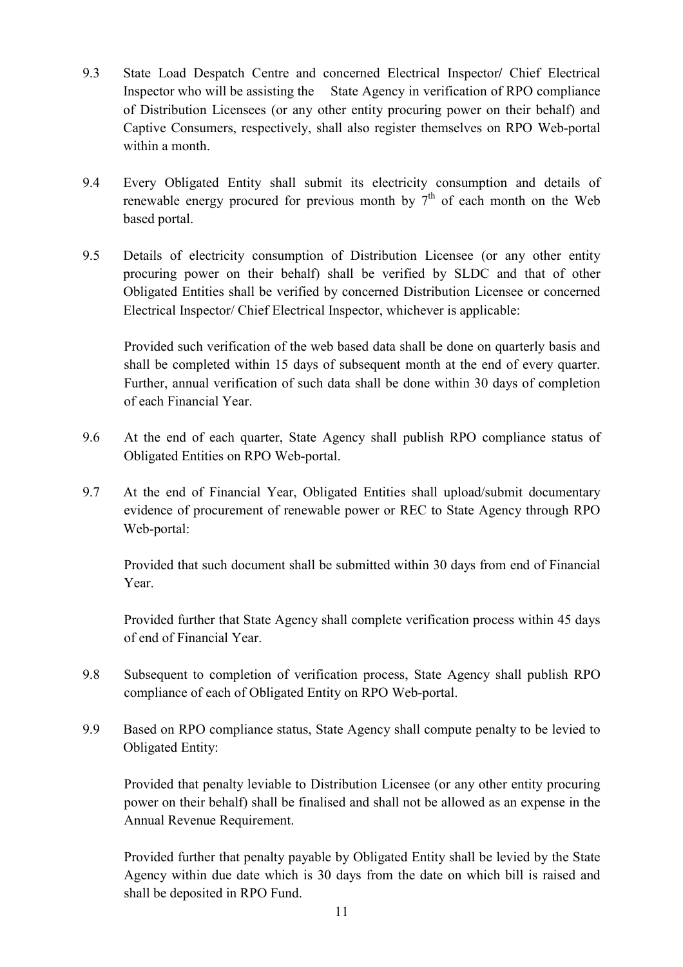- 9.3 State Load Despatch Centre and concerned Electrical Inspector**/** Chief Electrical Inspector who will be assisting the State Agency in verification of RPO compliance of Distribution Licensees (or any other entity procuring power on their behalf) and Captive Consumers, respectively, shall also register themselves on RPO Web-portal within a month.
- 9.4 Every Obligated Entity shall submit its electricity consumption and details of renewable energy procured for previous month by  $7<sup>th</sup>$  of each month on the Web based portal.
- 9.5 Details of electricity consumption of Distribution Licensee (or any other entity procuring power on their behalf) shall be verified by SLDC and that of other Obligated Entities shall be verified by concerned Distribution Licensee or concerned Electrical Inspector/ Chief Electrical Inspector, whichever is applicable:

Provided such verification of the web based data shall be done on quarterly basis and shall be completed within 15 days of subsequent month at the end of every quarter. Further, annual verification of such data shall be done within 30 days of completion of each Financial Year.

- 9.6 At the end of each quarter, State Agency shall publish RPO compliance status of Obligated Entities on RPO Web-portal.
- 9.7 At the end of Financial Year, Obligated Entities shall upload/submit documentary evidence of procurement of renewable power or REC to State Agency through RPO Web-portal:

Provided that such document shall be submitted within 30 days from end of Financial Year.

Provided further that State Agency shall complete verification process within 45 days of end of Financial Year.

- 9.8 Subsequent to completion of verification process, State Agency shall publish RPO compliance of each of Obligated Entity on RPO Web-portal.
- 9.9 Based on RPO compliance status, State Agency shall compute penalty to be levied to Obligated Entity:

Provided that penalty leviable to Distribution Licensee (or any other entity procuring power on their behalf) shall be finalised and shall not be allowed as an expense in the Annual Revenue Requirement.

Provided further that penalty payable by Obligated Entity shall be levied by the State Agency within due date which is 30 days from the date on which bill is raised and shall be deposited in RPO Fund.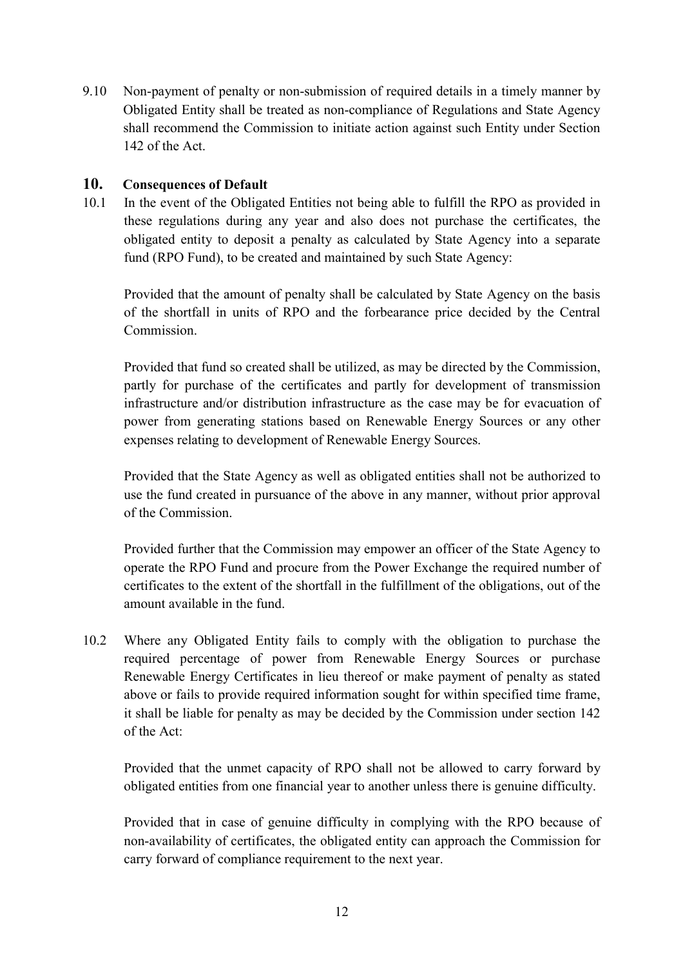9.10 Non-payment of penalty or non-submission of required details in a timely manner by Obligated Entity shall be treated as non-compliance of Regulations and State Agency shall recommend the Commission to initiate action against such Entity under Section 142 of the Act.

# **10. Consequences of Default**

10.1 In the event of the Obligated Entities not being able to fulfill the RPO as provided in these regulations during any year and also does not purchase the certificates, the obligated entity to deposit a penalty as calculated by State Agency into a separate fund (RPO Fund), to be created and maintained by such State Agency:

Provided that the amount of penalty shall be calculated by State Agency on the basis of the shortfall in units of RPO and the forbearance price decided by the Central **Commission** 

Provided that fund so created shall be utilized, as may be directed by the Commission, partly for purchase of the certificates and partly for development of transmission infrastructure and/or distribution infrastructure as the case may be for evacuation of power from generating stations based on Renewable Energy Sources or any other expenses relating to development of Renewable Energy Sources.

Provided that the State Agency as well as obligated entities shall not be authorized to use the fund created in pursuance of the above in any manner, without prior approval of the Commission.

Provided further that the Commission may empower an officer of the State Agency to operate the RPO Fund and procure from the Power Exchange the required number of certificates to the extent of the shortfall in the fulfillment of the obligations, out of the amount available in the fund.

10.2 Where any Obligated Entity fails to comply with the obligation to purchase the required percentage of power from Renewable Energy Sources or purchase Renewable Energy Certificates in lieu thereof or make payment of penalty as stated above or fails to provide required information sought for within specified time frame, it shall be liable for penalty as may be decided by the Commission under section 142 of the Act:

Provided that the unmet capacity of RPO shall not be allowed to carry forward by obligated entities from one financial year to another unless there is genuine difficulty.

Provided that in case of genuine difficulty in complying with the RPO because of non-availability of certificates, the obligated entity can approach the Commission for carry forward of compliance requirement to the next year.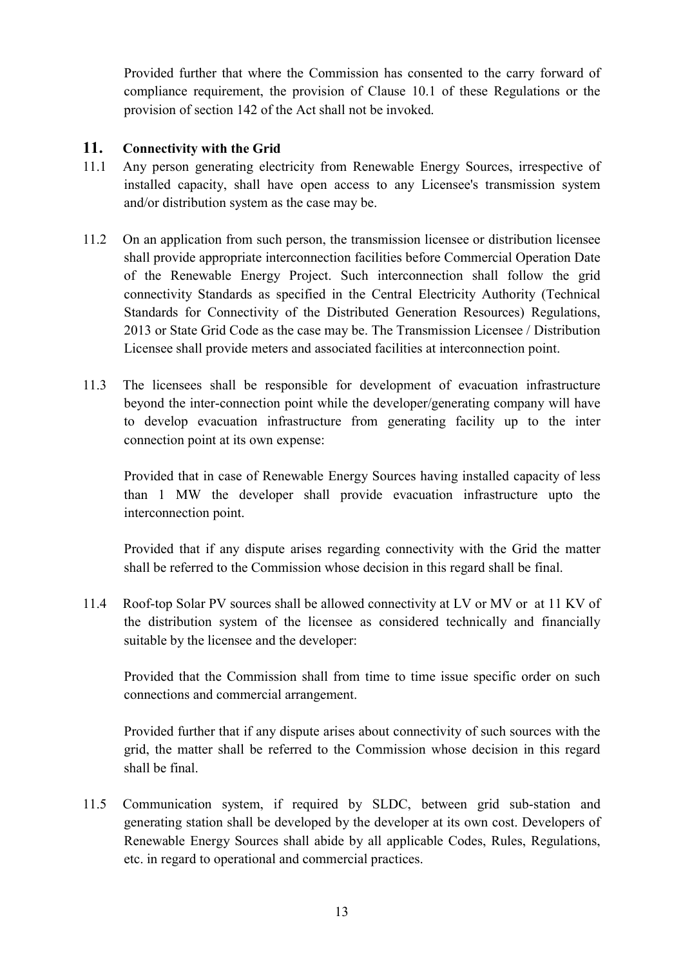Provided further that where the Commission has consented to the carry forward of compliance requirement, the provision of Clause 10.1 of these Regulations or the provision of section 142 of the Act shall not be invoked.

# **11. Connectivity with the Grid**

- 11.1 Any person generating electricity from Renewable Energy Sources, irrespective of installed capacity, shall have open access to any Licensee's transmission system and/or distribution system as the case may be.
- 11.2 On an application from such person, the transmission licensee or distribution licensee shall provide appropriate interconnection facilities before Commercial Operation Date of the Renewable Energy Project. Such interconnection shall follow the grid connectivity Standards as specified in the Central Electricity Authority (Technical Standards for Connectivity of the Distributed Generation Resources) Regulations, 2013 or State Grid Code as the case may be. The Transmission Licensee / Distribution Licensee shall provide meters and associated facilities at interconnection point.
- 11.3 The licensees shall be responsible for development of evacuation infrastructure beyond the inter-connection point while the developer/generating company will have to develop evacuation infrastructure from generating facility up to the inter connection point at its own expense:

Provided that in case of Renewable Energy Sources having installed capacity of less than 1 MW the developer shall provide evacuation infrastructure upto the interconnection point.

Provided that if any dispute arises regarding connectivity with the Grid the matter shall be referred to the Commission whose decision in this regard shall be final.

11.4 Roof-top Solar PV sources shall be allowed connectivity at LV or MV or at 11 KV of the distribution system of the licensee as considered technically and financially suitable by the licensee and the developer:

Provided that the Commission shall from time to time issue specific order on such connections and commercial arrangement.

Provided further that if any dispute arises about connectivity of such sources with the grid, the matter shall be referred to the Commission whose decision in this regard shall be final.

11.5 Communication system, if required by SLDC, between grid sub-station and generating station shall be developed by the developer at its own cost. Developers of Renewable Energy Sources shall abide by all applicable Codes, Rules, Regulations, etc. in regard to operational and commercial practices.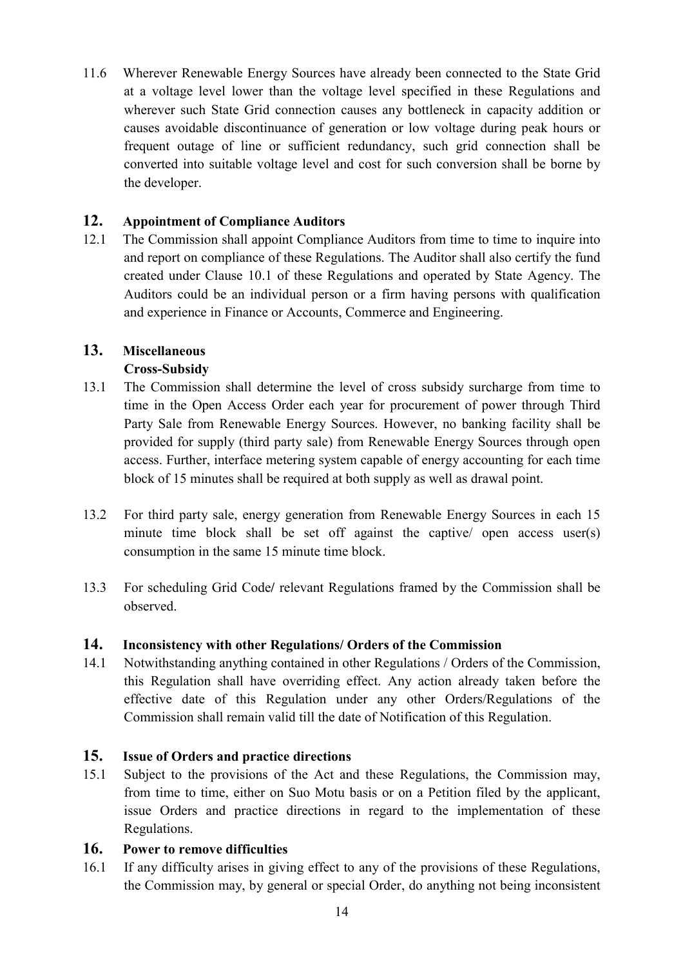11.6 Wherever Renewable Energy Sources have already been connected to the State Grid at a voltage level lower than the voltage level specified in these Regulations and wherever such State Grid connection causes any bottleneck in capacity addition or causes avoidable discontinuance of generation or low voltage during peak hours or frequent outage of line or sufficient redundancy, such grid connection shall be converted into suitable voltage level and cost for such conversion shall be borne by the developer.

# **12. Appointment of Compliance Auditors**

12.1 The Commission shall appoint Compliance Auditors from time to time to inquire into and report on compliance of these Regulations. The Auditor shall also certify the fund created under Clause 10.1 of these Regulations and operated by State Agency. The Auditors could be an individual person or a firm having persons with qualification and experience in Finance or Accounts, Commerce and Engineering.

# **13. Miscellaneous**

# **Cross-Subsidy**

- 13.1 The Commission shall determine the level of cross subsidy surcharge from time to time in the Open Access Order each year for procurement of power through Third Party Sale from Renewable Energy Sources. However, no banking facility shall be provided for supply (third party sale) from Renewable Energy Sources through open access. Further, interface metering system capable of energy accounting for each time block of 15 minutes shall be required at both supply as well as drawal point.
- 13.2 For third party sale, energy generation from Renewable Energy Sources in each 15 minute time block shall be set off against the captive/ open access user(s) consumption in the same 15 minute time block.
- 13.3 For scheduling Grid Code**/** relevant Regulations framed by the Commission shall be observed.

#### **14. Inconsistency with other Regulations/ Orders of the Commission**

14.1 Notwithstanding anything contained in other Regulations / Orders of the Commission, this Regulation shall have overriding effect. Any action already taken before the effective date of this Regulation under any other Orders/Regulations of the Commission shall remain valid till the date of Notification of this Regulation.

# **15. Issue of Orders and practice directions**

15.1 Subject to the provisions of the Act and these Regulations, the Commission may, from time to time, either on Suo Motu basis or on a Petition filed by the applicant, issue Orders and practice directions in regard to the implementation of these Regulations.

# **16. Power to remove difficulties**

16.1 If any difficulty arises in giving effect to any of the provisions of these Regulations, the Commission may, by general or special Order, do anything not being inconsistent